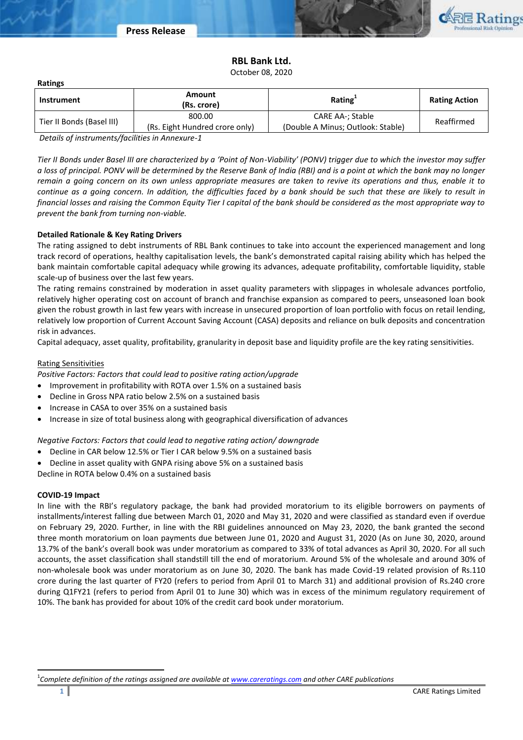

# **RBL Bank Ltd.**

October 08, 2020

| Instrument                | Amount<br>(Rs. crore)                    | Rating <sup>+</sup>                                   | <b>Rating Action</b> |
|---------------------------|------------------------------------------|-------------------------------------------------------|----------------------|
| Tier II Bonds (Basel III) | 800.00<br>(Rs. Eight Hundred crore only) | CARE AA-; Stable<br>(Double A Minus; Outlook: Stable) | Reaffirmed           |

*Details of instruments/facilities in Annexure-1*

*Tier II Bonds under Basel III are characterized by a 'Point of Non-Viability' (PONV) trigger due to which the investor may suffer a loss of principal. PONV will be determined by the Reserve Bank of India (RBI) and is a point at which the bank may no longer remain a going concern on its own unless appropriate measures are taken to revive its operations and thus, enable it to continue as a going concern. In addition, the difficulties faced by a bank should be such that these are likely to result in financial losses and raising the Common Equity Tier I capital of the bank should be considered as the most appropriate way to prevent the bank from turning non-viable.*

# **Detailed Rationale & Key Rating Drivers**

The rating assigned to debt instruments of RBL Bank continues to take into account the experienced management and long track record of operations, healthy capitalisation levels, the bank's demonstrated capital raising ability which has helped the bank maintain comfortable capital adequacy while growing its advances, adequate profitability, comfortable liquidity, stable scale-up of business over the last few years.

The rating remains constrained by moderation in asset quality parameters with slippages in wholesale advances portfolio, relatively higher operating cost on account of branch and franchise expansion as compared to peers, unseasoned loan book given the robust growth in last few years with increase in unsecured proportion of loan portfolio with focus on retail lending, relatively low proportion of Current Account Saving Account (CASA) deposits and reliance on bulk deposits and concentration risk in advances.

Capital adequacy, asset quality, profitability, granularity in deposit base and liquidity profile are the key rating sensitivities.

# Rating Sensitivities

**Ratings**

*Positive Factors: Factors that could lead to positive rating action/upgrade*

- Improvement in profitability with ROTA over 1.5% on a sustained basis
- Decline in Gross NPA ratio below 2.5% on a sustained basis
- Increase in CASA to over 35% on a sustained basis
- Increase in size of total business along with geographical diversification of advances

*Negative Factors: Factors that could lead to negative rating action/ downgrade*

- Decline in CAR below 12.5% or Tier I CAR below 9.5% on a sustained basis
- Decline in asset quality with GNPA rising above 5% on a sustained basis
- Decline in ROTA below 0.4% on a sustained basis

# **COVID-19 Impact**

 $\ddot{\phantom{a}}$ 

In line with the RBI's regulatory package, the bank had provided moratorium to its eligible borrowers on payments of installments/interest falling due between March 01, 2020 and May 31, 2020 and were classified as standard even if overdue on February 29, 2020. Further, in line with the RBI guidelines announced on May 23, 2020, the bank granted the second three month moratorium on loan payments due between June 01, 2020 and August 31, 2020 (As on June 30, 2020, around 13.7% of the bank's overall book was under moratorium as compared to 33% of total advances as April 30, 2020. For all such accounts, the asset classification shall standstill till the end of moratorium. Around 5% of the wholesale and around 30% of non-wholesale book was under moratorium as on June 30, 2020. The bank has made Covid-19 related provision of Rs.110 crore during the last quarter of FY20 (refers to period from April 01 to March 31) and additional provision of Rs.240 crore during Q1FY21 (refers to period from April 01 to June 30) which was in excess of the minimum regulatory requirement of 10%. The bank has provided for about 10% of the credit card book under moratorium.

<sup>1</sup> *Complete definition of the ratings assigned are available a[t www.careratings.com](http://www.careratings.com/) and other CARE publications*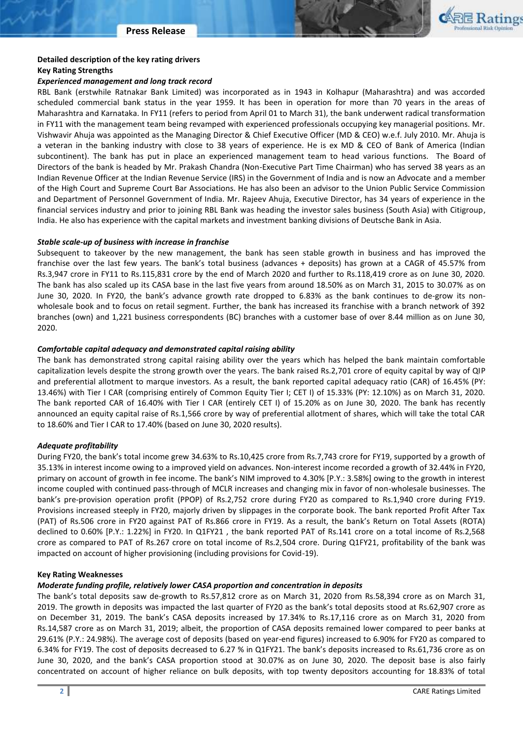

# **Detailed description of the key rating drivers**

#### **Key Rating Strengths**

### *Experienced management and long track record*

RBL Bank (erstwhile Ratnakar Bank Limited) was incorporated as in 1943 in Kolhapur (Maharashtra) and was accorded scheduled commercial bank status in the year 1959. It has been in operation for more than 70 years in the areas of Maharashtra and Karnataka. In FY11 (refers to period from April 01 to March 31), the bank underwent radical transformation in FY11 with the management team being revamped with experienced professionals occupying key managerial positions. Mr. Vishwavir Ahuja was appointed as the Managing Director & Chief Executive Officer (MD & CEO) w.e.f. July 2010. Mr. Ahuja is a veteran in the banking industry with close to 38 years of experience. He is ex MD & CEO of Bank of America (Indian subcontinent). The bank has put in place an experienced management team to head various functions. The Board of Directors of the bank is headed by Mr. Prakash Chandra (Non-Executive Part Time Chairman) who has served 38 years as an Indian Revenue Officer at the Indian Revenue Service (IRS) in the Government of India and is now an Advocate and a member of the High Court and Supreme Court Bar Associations. He has also been an advisor to the Union Public Service Commission and Department of Personnel Government of India. Mr. Rajeev Ahuja, Executive Director, has 34 years of experience in the financial services industry and prior to joining RBL Bank was heading the investor sales business (South Asia) with Citigroup, India. He also has experience with the capital markets and investment banking divisions of Deutsche Bank in Asia.

# *Stable scale-up of business with increase in franchise*

Subsequent to takeover by the new management, the bank has seen stable growth in business and has improved the franchise over the last few years. The bank's total business (advances + deposits) has grown at a CAGR of 45.57% from Rs.3,947 crore in FY11 to Rs.115,831 crore by the end of March 2020 and further to Rs.118,419 crore as on June 30, 2020. The bank has also scaled up its CASA base in the last five years from around 18.50% as on March 31, 2015 to 30.07% as on June 30, 2020. In FY20, the bank's advance growth rate dropped to 6.83% as the bank continues to de-grow its nonwholesale book and to focus on retail segment. Further, the bank has increased its franchise with a branch network of 392 branches (own) and 1,221 business correspondents (BC) branches with a customer base of over 8.44 million as on June 30, 2020.

# *Comfortable capital adequacy and demonstrated capital raising ability*

The bank has demonstrated strong capital raising ability over the years which has helped the bank maintain comfortable capitalization levels despite the strong growth over the years. The bank raised Rs.2,701 crore of equity capital by way of QIP and preferential allotment to marque investors. As a result, the bank reported capital adequacy ratio (CAR) of 16.45% (PY: 13.46%) with Tier I CAR (comprising entirely of Common Equity Tier I; CET I) of 15.33% (PY: 12.10%) as on March 31, 2020. The bank reported CAR of 16.40% with Tier I CAR (entirely CET I) of 15.20% as on June 30, 2020. The bank has recently announced an equity capital raise of Rs.1,566 crore by way of preferential allotment of shares, which will take the total CAR to 18.60% and Tier I CAR to 17.40% (based on June 30, 2020 results).

# *Adequate profitability*

During FY20, the bank's total income grew 34.63% to Rs.10,425 crore from Rs.7,743 crore for FY19, supported by a growth of 35.13% in interest income owing to a improved yield on advances. Non-interest income recorded a growth of 32.44% in FY20, primary on account of growth in fee income. The bank's NIM improved to 4.30% [P.Y.: 3.58%] owing to the growth in interest income coupled with continued pass-through of MCLR increases and changing mix in favor of non-wholesale businesses. The bank's pre-provision operation profit (PPOP) of Rs.2,752 crore during FY20 as compared to Rs.1,940 crore during FY19. Provisions increased steeply in FY20, majorly driven by slippages in the corporate book. The bank reported Profit After Tax (PAT) of Rs.506 crore in FY20 against PAT of Rs.866 crore in FY19. As a result, the bank's Return on Total Assets (ROTA) declined to 0.60% [P.Y.: 1.22%] in FY20. In Q1FY21 , the bank reported PAT of Rs.141 crore on a total income of Rs.2,568 crore as compared to PAT of Rs.267 crore on total income of Rs.2,504 crore. During Q1FY21, profitability of the bank was impacted on account of higher provisioning (including provisions for Covid-19).

### **Key Rating Weaknesses**

# *Moderate funding profile, relatively lower CASA proportion and concentration in deposits*

The bank's total deposits saw de-growth to Rs.57,812 crore as on March 31, 2020 from Rs.58,394 crore as on March 31, 2019. The growth in deposits was impacted the last quarter of FY20 as the bank's total deposits stood at Rs.62,907 crore as on December 31, 2019. The bank's CASA deposits increased by 17.34% to Rs.17,116 crore as on March 31, 2020 from Rs.14,587 crore as on March 31, 2019; albeit, the proportion of CASA deposits remained lower compared to peer banks at 29.61% (P.Y.: 24.98%). The average cost of deposits (based on year-end figures) increased to 6.90% for FY20 as compared to 6.34% for FY19. The cost of deposits decreased to 6.27 % in Q1FY21. The bank's deposits increased to Rs.61,736 crore as on June 30, 2020, and the bank's CASA proportion stood at 30.07% as on June 30, 2020. The deposit base is also fairly concentrated on account of higher reliance on bulk deposits, with top twenty depositors accounting for 18.83% of total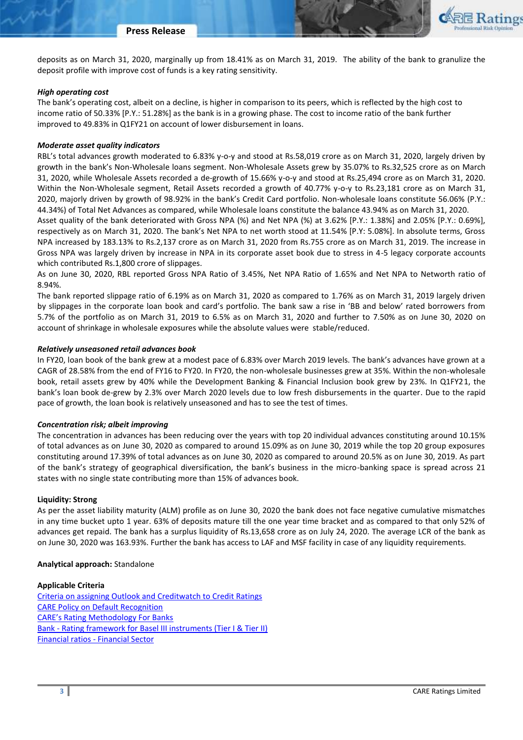

### *High operating cost*

The bank's operating cost, albeit on a decline, is higher in comparison to its peers, which is reflected by the high cost to income ratio of 50.33% [P.Y.: 51.28%] as the bank is in a growing phase. The cost to income ratio of the bank further improved to 49.83% in Q1FY21 on account of lower disbursement in loans.

### *Moderate asset quality indicators*

RBL's total advances growth moderated to 6.83% y-o-y and stood at Rs.58,019 crore as on March 31, 2020, largely driven by growth in the bank's Non-Wholesale loans segment. Non-Wholesale Assets grew by 35.07% to Rs.32,525 crore as on March 31, 2020, while Wholesale Assets recorded a de-growth of 15.66% y-o-y and stood at Rs.25,494 crore as on March 31, 2020. Within the Non-Wholesale segment, Retail Assets recorded a growth of 40.77% y-o-y to Rs.23,181 crore as on March 31, 2020, majorly driven by growth of 98.92% in the bank's Credit Card portfolio. Non-wholesale loans constitute 56.06% (P.Y.: 44.34%) of Total Net Advances as compared, while Wholesale loans constitute the balance 43.94% as on March 31, 2020.

Asset quality of the bank deteriorated with Gross NPA (%) and Net NPA (%) at 3.62% [P.Y.: 1.38%] and 2.05% [P.Y.: 0.69%], respectively as on March 31, 2020. The bank's Net NPA to net worth stood at 11.54% [P.Y: 5.08%]. In absolute terms, Gross NPA increased by 183.13% to Rs.2,137 crore as on March 31, 2020 from Rs.755 crore as on March 31, 2019. The increase in Gross NPA was largely driven by increase in NPA in its corporate asset book due to stress in 4-5 legacy corporate accounts which contributed Rs.1,800 crore of slippages.

As on June 30, 2020, RBL reported Gross NPA Ratio of 3.45%, Net NPA Ratio of 1.65% and Net NPA to Networth ratio of 8.94%.

The bank reported slippage ratio of 6.19% as on March 31, 2020 as compared to 1.76% as on March 31, 2019 largely driven by slippages in the corporate loan book and card's portfolio. The bank saw a rise in 'BB and below' rated borrowers from 5.7% of the portfolio as on March 31, 2019 to 6.5% as on March 31, 2020 and further to 7.50% as on June 30, 2020 on account of shrinkage in wholesale exposures while the absolute values were stable/reduced.

### *Relatively unseasoned retail advances book*

In FY20, loan book of the bank grew at a modest pace of 6.83% over March 2019 levels. The bank's advances have grown at a CAGR of 28.58% from the end of FY16 to FY20. In FY20, the non-wholesale businesses grew at 35%. Within the non-wholesale book, retail assets grew by 40% while the Development Banking & Financial Inclusion book grew by 23%. In Q1FY21, the bank's loan book de-grew by 2.3% over March 2020 levels due to low fresh disbursements in the quarter. Due to the rapid pace of growth, the loan book is relatively unseasoned and has to see the test of times.

#### *Concentration risk; albeit improving*

The concentration in advances has been reducing over the years with top 20 individual advances constituting around 10.15% of total advances as on June 30, 2020 as compared to around 15.09% as on June 30, 2019 while the top 20 group exposures constituting around 17.39% of total advances as on June 30, 2020 as compared to around 20.5% as on June 30, 2019. As part of the bank's strategy of geographical diversification, the bank's business in the micro-banking space is spread across 21 states with no single state contributing more than 15% of advances book.

#### **Liquidity: Strong**

As per the asset liability maturity (ALM) profile as on June 30, 2020 the bank does not face negative cumulative mismatches in any time bucket upto 1 year. 63% of deposits mature till the one year time bracket and as compared to that only 52% of advances get repaid. The bank has a surplus liquidity of Rs.13,658 crore as on July 24, 2020. The average LCR of the bank as on June 30, 2020 was 163.93%. Further the bank has access to LAF and MSF facility in case of any liquidity requirements.

### **Analytical approach:** Standalone

**Applicable Criteria** [Criteria on assigning Outlook and Creditwatch to Credit Ratings](http://www.careratings.com/upload/NewsFiles/GetRated/Outlook%20Criteria.pdf) [CARE Policy on Default Recognition](http://www.careratings.com/pdf/resources/CAREPolicyonDefaultRecognition.pdf) [CARE's Rating Methodology For Banks](http://www.careratings.com/upload/NewsFiles/GetRated/RatingMethodology-Banks27June2017.pdf) Bank - [Rating framework for Basel III instruments \(Tier I & Tier II\)](http://www.careratings.com/upload/NewsFiles/GetRated/Rating%20framework%20for%20Basel%20III%20instruments%20(Tier%20I%20&%20Tier%20II)%20-.pdf) [Financial ratios -](http://www.careratings.com/pdf/resources/Ratios%20-%20Financial%20Sector.pdf) Financial Sector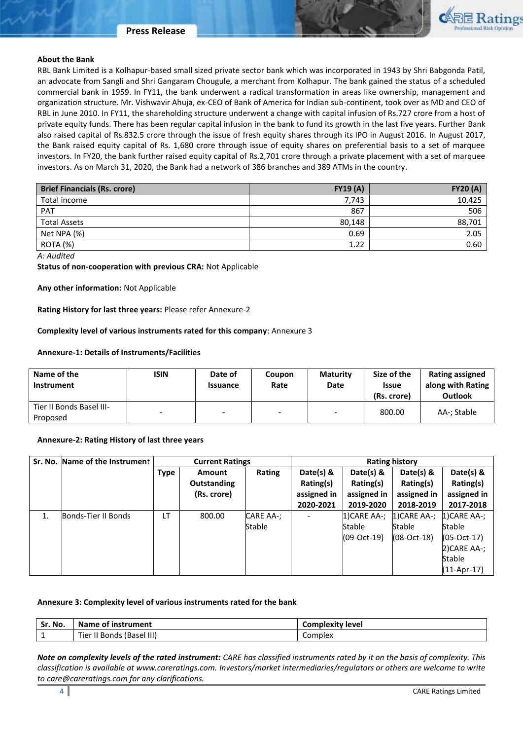#### **Press Release**



### **About the Bank**

RBL Bank Limited is a Kolhapur-based small sized private sector bank which was incorporated in 1943 by Shri Babgonda Patil, an advocate from Sangli and Shri Gangaram Chougule, a merchant from Kolhapur. The bank gained the status of a scheduled commercial bank in 1959. In FY11, the bank underwent a radical transformation in areas like ownership, management and organization structure. Mr. Vishwavir Ahuja, ex-CEO of Bank of America for Indian sub-continent, took over as MD and CEO of RBL in June 2010. In FY11, the shareholding structure underwent a change with capital infusion of Rs.727 crore from a host of private equity funds. There has been regular capital infusion in the bank to fund its growth in the last five years. Further Bank also raised capital of Rs.832.5 crore through the issue of fresh equity shares through its IPO in August 2016. In August 2017, the Bank raised equity capital of Rs. 1,680 crore through issue of equity shares on preferential basis to a set of marquee investors. In FY20, the bank further raised equity capital of Rs.2,701 crore through a private placement with a set of marquee investors. As on March 31, 2020, the Bank had a network of 386 branches and 389 ATMs in the country.

| <b>Brief Financials (Rs. crore)</b> | <b>FY19 (A)</b> | <b>FY20 (A)</b> |
|-------------------------------------|-----------------|-----------------|
| Total income                        | 7,743           | 10,425          |
| PAT                                 | 867             | 506             |
| <b>Total Assets</b>                 | 80,148          | 88,701          |
| Net NPA (%)                         | 0.69            | 2.05            |
| ROTA (%)                            | 1.22            | 0.60            |

*A: Audited*

**Status of non-cooperation with previous CRA:** Not Applicable

**Any other information:** Not Applicable

**Rating History for last three years:** Please refer Annexure-2

# **Complexity level of various instruments rated for this company**: Annexure 3

### **Annexure-1: Details of Instruments/Facilities**

| Name of the<br><b>Instrument</b>     | <b>ISIN</b> | Date of<br><b>Issuance</b> | Coupon<br>Rate           | <b>Maturity</b><br>Date | Size of the<br><b>Issue</b><br>(Rs. crore) | <b>Rating assigned</b><br>along with Rating<br><b>Outlook</b> |
|--------------------------------------|-------------|----------------------------|--------------------------|-------------------------|--------------------------------------------|---------------------------------------------------------------|
| Tier II Bonds Basel III-<br>Proposed |             |                            | $\overline{\phantom{a}}$ |                         | 800.00                                     | AA-; Stable                                                   |

#### **Annexure-2: Rating History of last three years**

| Sr. No. | Name of the Instrument | <b>Current Ratings</b> |             | <b>Rating history</b> |             |              |                |               |
|---------|------------------------|------------------------|-------------|-----------------------|-------------|--------------|----------------|---------------|
|         |                        | Type                   | Amount      | Rating                | Date(s) &   | Date(s) $8$  | Date(s) $8$    | Date(s) &     |
|         |                        |                        | Outstanding |                       | Rating(s)   | Rating(s)    | Rating(s)      | Rating(s)     |
|         |                        |                        | (Rs. crore) |                       | assigned in | assigned in  | assigned in    | assigned in   |
|         |                        |                        |             |                       | 2020-2021   | 2019-2020    | 2018-2019      | 2017-2018     |
| 1.      | Bonds-Tier II Bonds    | LT                     | 800.00      | CARE AA-;             |             | 1) CARE AA-; | $1)$ CARE AA-; | $1$ CARE AA-: |
|         |                        |                        |             | Stable                |             | Stable       | Stable         | <b>Stable</b> |
|         |                        |                        |             |                       |             | (09-Oct-19)  | (08-Oct-18)    | $(05-Oct-17)$ |
|         |                        |                        |             |                       |             |              |                | 2) CARE AA-;  |
|         |                        |                        |             |                       |             |              |                | Stable        |
|         |                        |                        |             |                       |             |              |                | $(11-Apr-17)$ |

### **Annexure 3: Complexity level of various instruments rated for the bank**

| Sr. No.       | Name of instrument           | <b>Complexity level</b> |
|---------------|------------------------------|-------------------------|
| <u>. на т</u> | Tier In<br>Bonds (Basel III) | Complex                 |

*Note on complexity levels of the rated instrument: CARE has classified instruments rated by it on the basis of complexity. This classification is available at www.careratings.com. Investors/market intermediaries/regulators or others are welcome to write to care@careratings.com for any clarifications.*